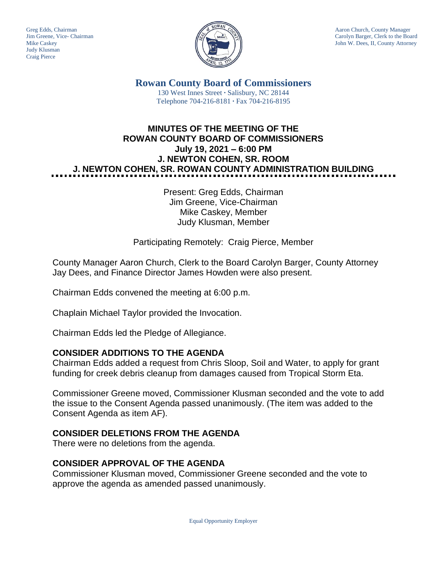Judy Klusman Craig Pierce



Greg Edds, Chairman Aaron Church, County Manager<br>Jim Greene, Vice- Chairman Aaron Church, County Manager and Aaron Church, County Manager and Aaron Church, County Manager Carolyn Barger, Clerk to the Board Mike Caskey John W. Dees, II, County Attorney

> **Rowan County Board of Commissioners** 130 West Innes Street **∙** Salisbury, NC 28144 Telephone 704-216-8181 **∙** Fax 704-216-8195

# **MINUTES OF THE MEETING OF THE ROWAN COUNTY BOARD OF COMMISSIONERS July 19, 2021 – 6:00 PM J. NEWTON COHEN, SR. ROOM J. NEWTON COHEN, SR. ROWAN COUNTY ADMINISTRATION BUILDING**

Present: Greg Edds, Chairman Jim Greene, Vice-Chairman Mike Caskey, Member Judy Klusman, Member

Participating Remotely: Craig Pierce, Member

County Manager Aaron Church, Clerk to the Board Carolyn Barger, County Attorney Jay Dees, and Finance Director James Howden were also present.

Chairman Edds convened the meeting at 6:00 p.m.

Chaplain Michael Taylor provided the Invocation.

Chairman Edds led the Pledge of Allegiance.

#### **CONSIDER ADDITIONS TO THE AGENDA**

Chairman Edds added a request from Chris Sloop, Soil and Water, to apply for grant funding for creek debris cleanup from damages caused from Tropical Storm Eta.

Commissioner Greene moved, Commissioner Klusman seconded and the vote to add the issue to the Consent Agenda passed unanimously. (The item was added to the Consent Agenda as item AF).

## **CONSIDER DELETIONS FROM THE AGENDA**

There were no deletions from the agenda.

## **CONSIDER APPROVAL OF THE AGENDA**

Commissioner Klusman moved, Commissioner Greene seconded and the vote to approve the agenda as amended passed unanimously.

Equal Opportunity Employer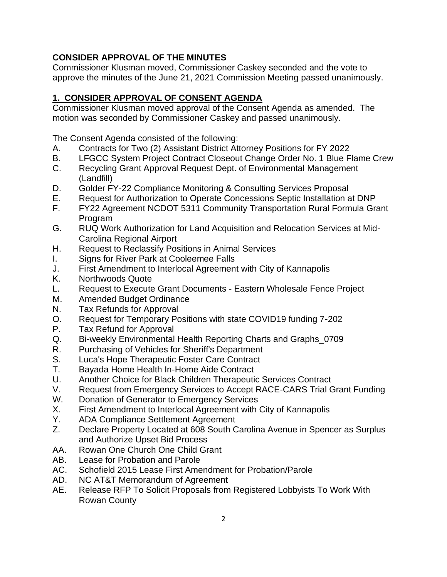## **CONSIDER APPROVAL OF THE MINUTES**

Commissioner Klusman moved, Commissioner Caskey seconded and the vote to approve the minutes of the June 21, 2021 Commission Meeting passed unanimously.

# **1. CONSIDER APPROVAL OF CONSENT AGENDA**

Commissioner Klusman moved approval of the Consent Agenda as amended. The motion was seconded by Commissioner Caskey and passed unanimously.

The Consent Agenda consisted of the following:

- A. Contracts for Two (2) Assistant District Attorney Positions for FY 2022
- B. LFGCC System Project Contract Closeout Change Order No. 1 Blue Flame Crew
- C. Recycling Grant Approval Request Dept. of Environmental Management (Landfill)
- D. Golder FY-22 Compliance Monitoring & Consulting Services Proposal
- E. Request for Authorization to Operate Concessions Septic Installation at DNP
- F. FY22 Agreement NCDOT 5311 Community Transportation Rural Formula Grant Program
- G. RUQ Work Authorization for Land Acquisition and Relocation Services at Mid-Carolina Regional Airport
- H. Request to Reclassify Positions in Animal Services
- I. Signs for River Park at Cooleemee Falls
- J. First Amendment to Interlocal Agreement with City of Kannapolis
- K. Northwoods Quote
- L. Request to Execute Grant Documents Eastern Wholesale Fence Project
- M. Amended Budget Ordinance
- N. Tax Refunds for Approval
- O. Request for Temporary Positions with state COVID19 funding 7-202
- P. Tax Refund for Approval
- Q. Bi-weekly Environmental Health Reporting Charts and Graphs\_0709
- R. Purchasing of Vehicles for Sheriff's Department
- S. Luca's Hope Therapeutic Foster Care Contract
- T. Bayada Home Health In-Home Aide Contract
- U. Another Choice for Black Children Therapeutic Services Contract
- V. Request from Emergency Services to Accept RACE-CARS Trial Grant Funding
- W. Donation of Generator to Emergency Services
- X. First Amendment to Interlocal Agreement with City of Kannapolis
- Y. ADA Compliance Settlement Agreement
- Z. Declare Property Located at 608 South Carolina Avenue in Spencer as Surplus and Authorize Upset Bid Process
- AA. Rowan One Church One Child Grant
- AB. Lease for Probation and Parole
- AC. Schofield 2015 Lease First Amendment for Probation/Parole
- AD. NC AT&T Memorandum of Agreement
- AE. Release RFP To Solicit Proposals from Registered Lobbyists To Work With Rowan County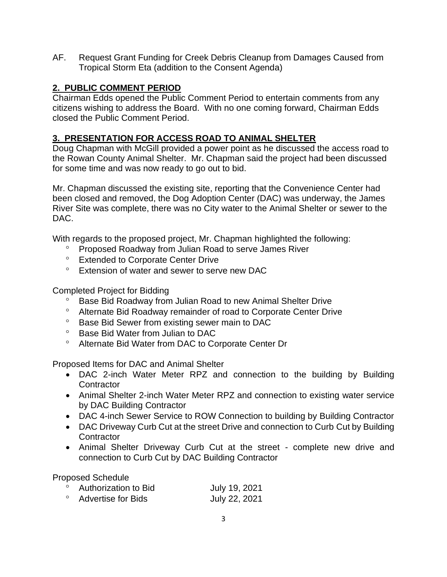AF. Request Grant Funding for Creek Debris Cleanup from Damages Caused from Tropical Storm Eta (addition to the Consent Agenda)

## **2. PUBLIC COMMENT PERIOD**

Chairman Edds opened the Public Comment Period to entertain comments from any citizens wishing to address the Board. With no one coming forward, Chairman Edds closed the Public Comment Period.

## **3. PRESENTATION FOR ACCESS ROAD TO ANIMAL SHELTER**

Doug Chapman with McGill provided a power point as he discussed the access road to the Rowan County Animal Shelter. Mr. Chapman said the project had been discussed for some time and was now ready to go out to bid.

Mr. Chapman discussed the existing site, reporting that the Convenience Center had been closed and removed, the Dog Adoption Center (DAC) was underway, the James River Site was complete, there was no City water to the Animal Shelter or sewer to the DAC.

With regards to the proposed project, Mr. Chapman highlighted the following:

- Proposed Roadway from Julian Road to serve James River
- <sup>o</sup> Extended to Corporate Center Drive
- Extension of water and sewer to serve new DAC

Completed Project for Bidding

- <sup>o</sup> Base Bid Roadway from Julian Road to new Animal Shelter Drive
- Alternate Bid Roadway remainder of road to Corporate Center Drive
- <sup>o</sup> Base Bid Sewer from existing sewer main to DAC
- <sup>o</sup> Base Bid Water from Julian to DAC
- Alternate Bid Water from DAC to Corporate Center Dr

Proposed Items for DAC and Animal Shelter

- DAC 2-inch Water Meter RPZ and connection to the building by Building **Contractor**
- Animal Shelter 2-inch Water Meter RPZ and connection to existing water service by DAC Building Contractor
- DAC 4-inch Sewer Service to ROW Connection to building by Building Contractor
- DAC Driveway Curb Cut at the street Drive and connection to Curb Cut by Building **Contractor**
- Animal Shelter Driveway Curb Cut at the street complete new drive and connection to Curb Cut by DAC Building Contractor

Proposed Schedule

| Authorization to Bid      | July 19, 2021 |
|---------------------------|---------------|
| <b>Advertise for Bids</b> | July 22, 2021 |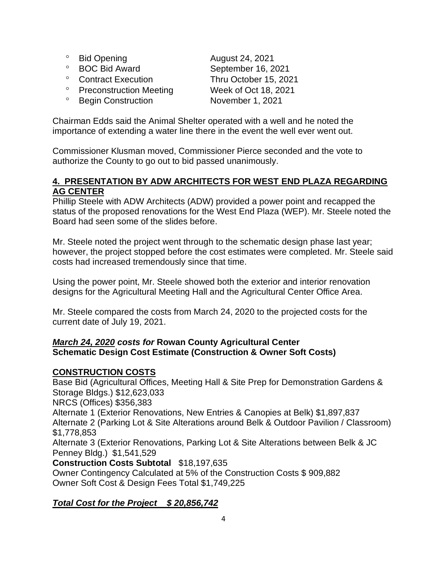- <sup>o</sup> Bid Opening **August 24, 2021**
- 
- Contract Execution Thru October 15, 2021
- Preconstruction Meeting Week of Oct 18, 2021
- <sup>o</sup> Begin Construction November 1, 2021

<sup>o</sup> BOC Bid Award September 16, 2021

Chairman Edds said the Animal Shelter operated with a well and he noted the importance of extending a water line there in the event the well ever went out.

Commissioner Klusman moved, Commissioner Pierce seconded and the vote to authorize the County to go out to bid passed unanimously.

### **4. PRESENTATION BY ADW ARCHITECTS FOR WEST END PLAZA REGARDING AG CENTER**

Phillip Steele with ADW Architects (ADW) provided a power point and recapped the status of the proposed renovations for the West End Plaza (WEP). Mr. Steele noted the Board had seen some of the slides before.

Mr. Steele noted the project went through to the schematic design phase last year; however, the project stopped before the cost estimates were completed. Mr. Steele said costs had increased tremendously since that time.

Using the power point, Mr. Steele showed both the exterior and interior renovation designs for the Agricultural Meeting Hall and the Agricultural Center Office Area.

Mr. Steele compared the costs from March 24, 2020 to the projected costs for the current date of July 19, 2021.

### *March 24, 2020 costs for* **Rowan County Agricultural Center Schematic Design Cost Estimate (Construction & Owner Soft Costs)**

#### **CONSTRUCTION COSTS**

Base Bid (Agricultural Offices, Meeting Hall & Site Prep for Demonstration Gardens & Storage Bldgs.) \$12,623,033 NRCS (Offices) \$356,383 Alternate 1 (Exterior Renovations, New Entries & Canopies at Belk) \$1,897,837 Alternate 2 (Parking Lot & Site Alterations around Belk & Outdoor Pavilion / Classroom) \$1,778,853 Alternate 3 (Exterior Renovations, Parking Lot & Site Alterations between Belk & JC Penney Bldg.) \$1,541,529 **Construction Costs Subtotal** \$18,197,635 Owner Contingency Calculated at 5% of the Construction Costs \$ 909,882

Owner Soft Cost & Design Fees Total \$1,749,225

## *Total Cost for the Project \$ 20,856,742*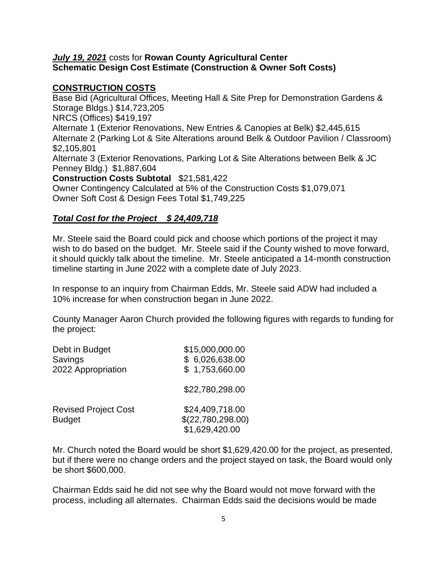#### *July 19, 2021* costs for **Rowan County Agricultural Center Schematic Design Cost Estimate (Construction & Owner Soft Costs)**

#### **CONSTRUCTION COSTS**

Base Bid (Agricultural Offices, Meeting Hall & Site Prep for Demonstration Gardens & Storage Bldgs.) \$14,723,205 NRCS (Offices) \$419,197 Alternate 1 (Exterior Renovations, New Entries & Canopies at Belk) \$2,445,615 Alternate 2 (Parking Lot & Site Alterations around Belk & Outdoor Pavilion / Classroom) \$2,105,801 Alternate 3 (Exterior Renovations, Parking Lot & Site Alterations between Belk & JC Penney Bldg.) \$1,887,604 **Construction Costs Subtotal** \$21,581,422 Owner Contingency Calculated at 5% of the Construction Costs \$1,079,071

Owner Soft Cost & Design Fees Total \$1,749,225

#### *Total Cost for the Project \$ 24,409,718*

Mr. Steele said the Board could pick and choose which portions of the project it may wish to do based on the budget. Mr. Steele said if the County wished to move forward, it should quickly talk about the timeline. Mr. Steele anticipated a 14-month construction timeline starting in June 2022 with a complete date of July 2023.

In response to an inquiry from Chairman Edds, Mr. Steele said ADW had included a 10% increase for when construction began in June 2022.

County Manager Aaron Church provided the following figures with regards to funding for the project:

| Debt in Budget<br>Savings<br>2022 Appropriation | \$15,000,000.00<br>\$6,026,638.00<br>\$1,753,660.00    |
|-------------------------------------------------|--------------------------------------------------------|
|                                                 | \$22,780,298.00                                        |
| <b>Revised Project Cost</b><br><b>Budget</b>    | \$24,409,718.00<br>\$(22,780,298.00)<br>\$1,629,420.00 |

Mr. Church noted the Board would be short \$1,629,420.00 for the project, as presented, but if there were no change orders and the project stayed on task, the Board would only be short \$600,000.

Chairman Edds said he did not see why the Board would not move forward with the process, including all alternates. Chairman Edds said the decisions would be made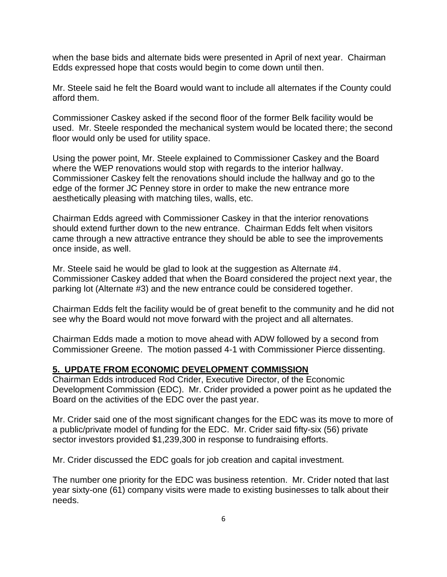when the base bids and alternate bids were presented in April of next year. Chairman Edds expressed hope that costs would begin to come down until then.

Mr. Steele said he felt the Board would want to include all alternates if the County could afford them.

Commissioner Caskey asked if the second floor of the former Belk facility would be used. Mr. Steele responded the mechanical system would be located there; the second floor would only be used for utility space.

Using the power point, Mr. Steele explained to Commissioner Caskey and the Board where the WEP renovations would stop with regards to the interior hallway. Commissioner Caskey felt the renovations should include the hallway and go to the edge of the former JC Penney store in order to make the new entrance more aesthetically pleasing with matching tiles, walls, etc.

Chairman Edds agreed with Commissioner Caskey in that the interior renovations should extend further down to the new entrance. Chairman Edds felt when visitors came through a new attractive entrance they should be able to see the improvements once inside, as well.

Mr. Steele said he would be glad to look at the suggestion as Alternate #4. Commissioner Caskey added that when the Board considered the project next year, the parking lot (Alternate #3) and the new entrance could be considered together.

Chairman Edds felt the facility would be of great benefit to the community and he did not see why the Board would not move forward with the project and all alternates.

Chairman Edds made a motion to move ahead with ADW followed by a second from Commissioner Greene. The motion passed 4-1 with Commissioner Pierce dissenting.

#### **5. UPDATE FROM ECONOMIC DEVELOPMENT COMMISSION**

Chairman Edds introduced Rod Crider, Executive Director, of the Economic Development Commission (EDC). Mr. Crider provided a power point as he updated the Board on the activities of the EDC over the past year.

Mr. Crider said one of the most significant changes for the EDC was its move to more of a public/private model of funding for the EDC. Mr. Crider said fifty-six (56) private sector investors provided \$1,239,300 in response to fundraising efforts.

Mr. Crider discussed the EDC goals for job creation and capital investment.

The number one priority for the EDC was business retention. Mr. Crider noted that last year sixty-one (61) company visits were made to existing businesses to talk about their needs.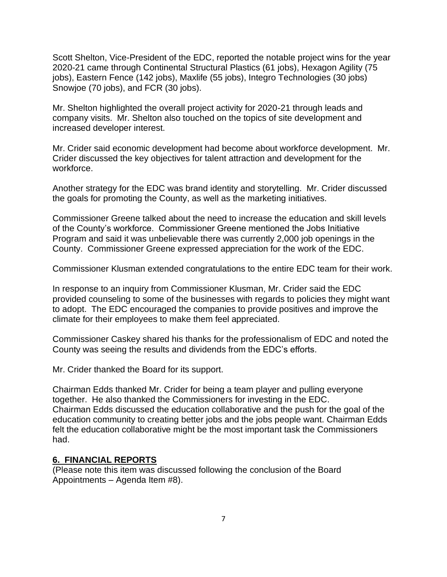Scott Shelton, Vice-President of the EDC, reported the notable project wins for the year 2020-21 came through Continental Structural Plastics (61 jobs), Hexagon Agility (75 jobs), Eastern Fence (142 jobs), Maxlife (55 jobs), Integro Technologies (30 jobs) Snowjoe (70 jobs), and FCR (30 jobs).

Mr. Shelton highlighted the overall project activity for 2020-21 through leads and company visits. Mr. Shelton also touched on the topics of site development and increased developer interest.

Mr. Crider said economic development had become about workforce development. Mr. Crider discussed the key objectives for talent attraction and development for the workforce.

Another strategy for the EDC was brand identity and storytelling. Mr. Crider discussed the goals for promoting the County, as well as the marketing initiatives.

Commissioner Greene talked about the need to increase the education and skill levels of the County's workforce. Commissioner Greene mentioned the Jobs Initiative Program and said it was unbelievable there was currently 2,000 job openings in the County. Commissioner Greene expressed appreciation for the work of the EDC.

Commissioner Klusman extended congratulations to the entire EDC team for their work.

In response to an inquiry from Commissioner Klusman, Mr. Crider said the EDC provided counseling to some of the businesses with regards to policies they might want to adopt. The EDC encouraged the companies to provide positives and improve the climate for their employees to make them feel appreciated.

Commissioner Caskey shared his thanks for the professionalism of EDC and noted the County was seeing the results and dividends from the EDC's efforts.

Mr. Crider thanked the Board for its support.

Chairman Edds thanked Mr. Crider for being a team player and pulling everyone together. He also thanked the Commissioners for investing in the EDC. Chairman Edds discussed the education collaborative and the push for the goal of the education community to creating better jobs and the jobs people want. Chairman Edds felt the education collaborative might be the most important task the Commissioners had.

#### **6. FINANCIAL REPORTS**

(Please note this item was discussed following the conclusion of the Board Appointments – Agenda Item #8).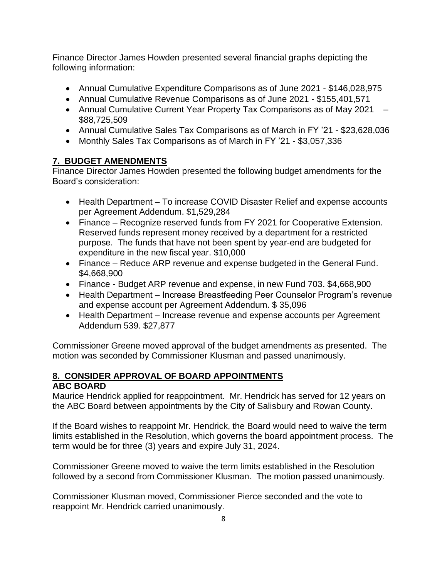Finance Director James Howden presented several financial graphs depicting the following information:

- Annual Cumulative Expenditure Comparisons as of June 2021 \$146,028,975
- Annual Cumulative Revenue Comparisons as of June 2021 \$155,401,571
- Annual Cumulative Current Year Property Tax Comparisons as of May 2021 \$88,725,509
- Annual Cumulative Sales Tax Comparisons as of March in FY '21 \$23,628,036
- Monthly Sales Tax Comparisons as of March in FY '21 \$3,057,336

### **7. BUDGET AMENDMENTS**

Finance Director James Howden presented the following budget amendments for the Board's consideration:

- Health Department To increase COVID Disaster Relief and expense accounts per Agreement Addendum. \$1,529,284
- Finance Recognize reserved funds from FY 2021 for Cooperative Extension. Reserved funds represent money received by a department for a restricted purpose. The funds that have not been spent by year-end are budgeted for expenditure in the new fiscal year. \$10,000
- Finance Reduce ARP revenue and expense budgeted in the General Fund. \$4,668,900
- Finance Budget ARP revenue and expense, in new Fund 703. \$4,668,900
- Health Department Increase Breastfeeding Peer Counselor Program's revenue and expense account per Agreement Addendum. \$ 35,096
- Health Department Increase revenue and expense accounts per Agreement Addendum 539. \$27,877

Commissioner Greene moved approval of the budget amendments as presented. The motion was seconded by Commissioner Klusman and passed unanimously.

#### **8. CONSIDER APPROVAL OF BOARD APPOINTMENTS ABC BOARD**

Maurice Hendrick applied for reappointment. Mr. Hendrick has served for 12 years on the ABC Board between appointments by the City of Salisbury and Rowan County.

If the Board wishes to reappoint Mr. Hendrick, the Board would need to waive the term limits established in the Resolution, which governs the board appointment process. The term would be for three (3) years and expire July 31, 2024.

Commissioner Greene moved to waive the term limits established in the Resolution followed by a second from Commissioner Klusman. The motion passed unanimously.

Commissioner Klusman moved, Commissioner Pierce seconded and the vote to reappoint Mr. Hendrick carried unanimously.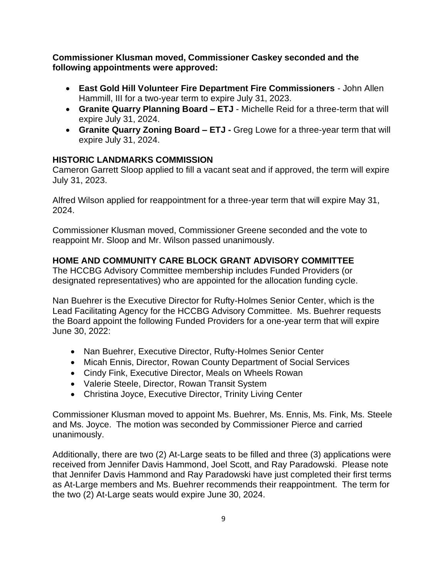**Commissioner Klusman moved, Commissioner Caskey seconded and the following appointments were approved:**

- **East Gold Hill Volunteer Fire Department Fire Commissioners** John Allen Hammill, III for a two-year term to expire July 31, 2023.
- **Granite Quarry Planning Board – ETJ** Michelle Reid for a three-term that will expire July 31, 2024.
- **Granite Quarry Zoning Board – ETJ -** Greg Lowe for a three-year term that will expire July 31, 2024.

### **HISTORIC LANDMARKS COMMISSION**

Cameron Garrett Sloop applied to fill a vacant seat and if approved, the term will expire July 31, 2023.

Alfred Wilson applied for reappointment for a three-year term that will expire May 31, 2024.

Commissioner Klusman moved, Commissioner Greene seconded and the vote to reappoint Mr. Sloop and Mr. Wilson passed unanimously.

### **HOME AND COMMUNITY CARE BLOCK GRANT ADVISORY COMMITTEE**

The HCCBG Advisory Committee membership includes Funded Providers (or designated representatives) who are appointed for the allocation funding cycle.

Nan Buehrer is the Executive Director for Rufty-Holmes Senior Center, which is the Lead Facilitating Agency for the HCCBG Advisory Committee. Ms. Buehrer requests the Board appoint the following Funded Providers for a one-year term that will expire June 30, 2022:

- Nan Buehrer, Executive Director, Rufty-Holmes Senior Center
- Micah Ennis, Director, Rowan County Department of Social Services
- Cindy Fink, Executive Director, Meals on Wheels Rowan
- Valerie Steele, Director, Rowan Transit System
- Christina Joyce, Executive Director, Trinity Living Center

Commissioner Klusman moved to appoint Ms. Buehrer, Ms. Ennis, Ms. Fink, Ms. Steele and Ms. Joyce. The motion was seconded by Commissioner Pierce and carried unanimously.

Additionally, there are two (2) At-Large seats to be filled and three (3) applications were received from Jennifer Davis Hammond, Joel Scott, and Ray Paradowski. Please note that Jennifer Davis Hammond and Ray Paradowski have just completed their first terms as At-Large members and Ms. Buehrer recommends their reappointment. The term for the two (2) At-Large seats would expire June 30, 2024.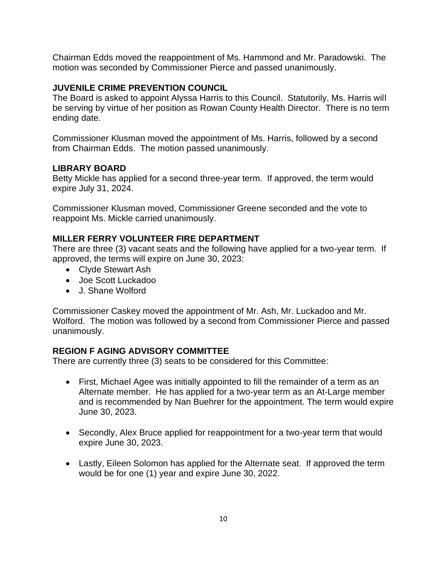Chairman Edds moved the reappointment of Ms. Hammond and Mr. Paradowski. The motion was seconded by Commissioner Pierce and passed unanimously.

#### **JUVENILE CRIME PREVENTION COUNCIL**

The Board is asked to appoint Alyssa Harris to this Council. Statutorily, Ms. Harris will be serving by virtue of her position as Rowan County Health Director. There is no term ending date.

Commissioner Klusman moved the appointment of Ms. Harris, followed by a second from Chairman Edds. The motion passed unanimously.

#### **LIBRARY BOARD**

Betty Mickle has applied for a second three-year term. If approved, the term would expire July 31, 2024.

Commissioner Klusman moved, Commissioner Greene seconded and the vote to reappoint Ms. Mickle carried unanimously.

#### **MILLER FERRY VOLUNTEER FIRE DEPARTMENT**

There are three (3) vacant seats and the following have applied for a two-year term. If approved, the terms will expire on June 30, 2023:

- Clyde Stewart Ash
- Joe Scott Luckadoo
- J. Shane Wolford

Commissioner Caskey moved the appointment of Mr. Ash, Mr. Luckadoo and Mr. Wolford. The motion was followed by a second from Commissioner Pierce and passed unanimously.

#### **REGION F AGING ADVISORY COMMITTEE**

There are currently three (3) seats to be considered for this Committee:

- First, Michael Agee was initially appointed to fill the remainder of a term as an Alternate member. He has applied for a two-year term as an At-Large member and is recommended by Nan Buehrer for the appointment. The term would expire June 30, 2023.
- Secondly, Alex Bruce applied for reappointment for a two-year term that would expire June 30, 2023.
- Lastly, Eileen Solomon has applied for the Alternate seat. If approved the term would be for one (1) year and expire June 30, 2022.